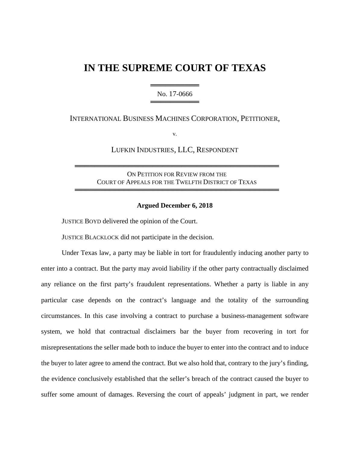# **IN THE SUPREME COURT OF TEXAS**

════════════════════════ No. 17-0666 ══════════════

INTERNATIONAL BUSINESS MACHINES CORPORATION, PETITIONER,

v.

LUFKIN INDUSTRIES, LLC, RESPONDENT

ON PETITION FOR REVIEW FROM THE COURT OF APPEALS FOR THE TWELFTH DISTRICT OF TEXAS

══════════════════════════════════════════

══════════════════════════════════════════

#### **Argued December 6, 2018**

JUSTICE BOYD delivered the opinion of the Court.

JUSTICE BLACKLOCK did not participate in the decision.

Under Texas law, a party may be liable in tort for fraudulently inducing another party to enter into a contract. But the party may avoid liability if the other party contractually disclaimed any reliance on the first party's fraudulent representations. Whether a party is liable in any particular case depends on the contract's language and the totality of the surrounding circumstances. In this case involving a contract to purchase a business-management software system, we hold that contractual disclaimers bar the buyer from recovering in tort for misrepresentations the seller made both to induce the buyer to enter into the contract and to induce the buyer to later agree to amend the contract. But we also hold that, contrary to the jury's finding, the evidence conclusively established that the seller's breach of the contract caused the buyer to suffer some amount of damages. Reversing the court of appeals' judgment in part, we render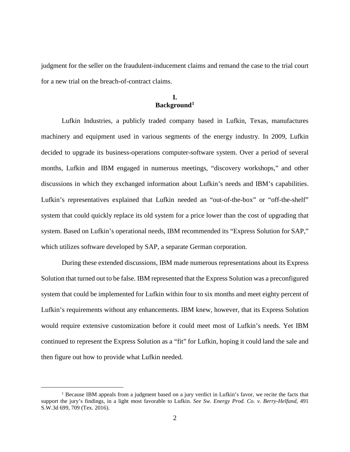judgment for the seller on the fraudulent-inducement claims and remand the case to the trial court for a new trial on the breach-of-contract claims.

## **I. Background[1](#page-1-0)**

Lufkin Industries, a publicly traded company based in Lufkin, Texas, manufactures machinery and equipment used in various segments of the energy industry. In 2009, Lufkin decided to upgrade its business-operations computer-software system. Over a period of several months, Lufkin and IBM engaged in numerous meetings, "discovery workshops," and other discussions in which they exchanged information about Lufkin's needs and IBM's capabilities. Lufkin's representatives explained that Lufkin needed an "out-of-the-box" or "off-the-shelf" system that could quickly replace its old system for a price lower than the cost of upgrading that system. Based on Lufkin's operational needs, IBM recommended its "Express Solution for SAP," which utilizes software developed by SAP, a separate German corporation.

During these extended discussions, IBM made numerous representations about its Express Solution that turned out to be false. IBM represented that the Express Solution was a preconfigured system that could be implemented for Lufkin within four to six months and meet eighty percent of Lufkin's requirements without any enhancements. IBM knew, however, that its Express Solution would require extensive customization before it could meet most of Lufkin's needs. Yet IBM continued to represent the Express Solution as a "fit" for Lufkin, hoping it could land the sale and then figure out how to provide what Lufkin needed.

<span id="page-1-0"></span><sup>&</sup>lt;sup>1</sup> Because IBM appeals from a judgment based on a jury verdict in Lufkin's favor, we recite the facts that support the jury's findings, in a light most favorable to Lufkin. *See Sw. Energy Prod. Co. v. Berry-Helfand*, 491 S.W.3d 699, 709 (Tex. 2016).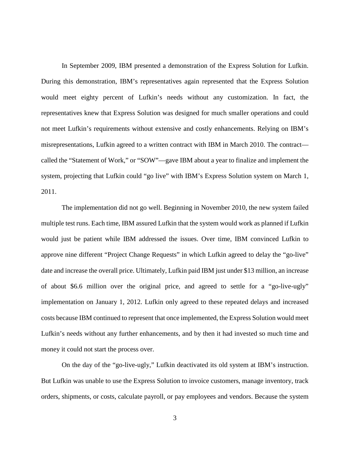In September 2009, IBM presented a demonstration of the Express Solution for Lufkin. During this demonstration, IBM's representatives again represented that the Express Solution would meet eighty percent of Lufkin's needs without any customization. In fact, the representatives knew that Express Solution was designed for much smaller operations and could not meet Lufkin's requirements without extensive and costly enhancements. Relying on IBM's misrepresentations, Lufkin agreed to a written contract with IBM in March 2010. The contract called the "Statement of Work," or "SOW"—gave IBM about a year to finalize and implement the system, projecting that Lufkin could "go live" with IBM's Express Solution system on March 1, 2011.

The implementation did not go well. Beginning in November 2010, the new system failed multiple test runs. Each time, IBM assured Lufkin that the system would work as planned if Lufkin would just be patient while IBM addressed the issues. Over time, IBM convinced Lufkin to approve nine different "Project Change Requests" in which Lufkin agreed to delay the "go-live" date and increase the overall price. Ultimately, Lufkin paid IBM just under \$13 million, an increase of about \$6.6 million over the original price, and agreed to settle for a "go-live-ugly" implementation on January 1, 2012. Lufkin only agreed to these repeated delays and increased costs because IBM continued to represent that once implemented, the Express Solution would meet Lufkin's needs without any further enhancements, and by then it had invested so much time and money it could not start the process over.

On the day of the "go-live-ugly," Lufkin deactivated its old system at IBM's instruction. But Lufkin was unable to use the Express Solution to invoice customers, manage inventory, track orders, shipments, or costs, calculate payroll, or pay employees and vendors. Because the system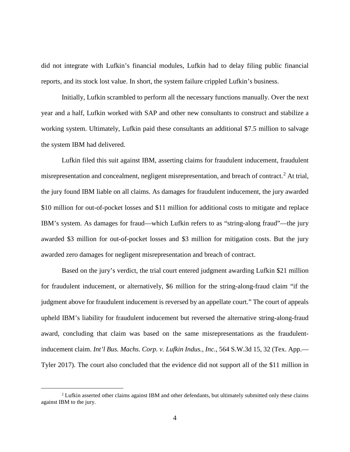did not integrate with Lufkin's financial modules, Lufkin had to delay filing public financial reports, and its stock lost value. In short, the system failure crippled Lufkin's business.

Initially, Lufkin scrambled to perform all the necessary functions manually. Over the next year and a half, Lufkin worked with SAP and other new consultants to construct and stabilize a working system. Ultimately, Lufkin paid these consultants an additional \$7.5 million to salvage the system IBM had delivered.

Lufkin filed this suit against IBM, asserting claims for fraudulent inducement, fraudulent misrepresentation and concealment, negligent misrepresentation, and breach of contract.<sup>[2](#page-3-0)</sup> At trial, the jury found IBM liable on all claims. As damages for fraudulent inducement, the jury awarded \$10 million for out-of-pocket losses and \$11 million for additional costs to mitigate and replace IBM's system. As damages for fraud—which Lufkin refers to as "string-along fraud"—the jury awarded \$3 million for out-of-pocket losses and \$3 million for mitigation costs. But the jury awarded zero damages for negligent misrepresentation and breach of contract.

Based on the jury's verdict, the trial court entered judgment awarding Lufkin \$21 million for fraudulent inducement, or alternatively, \$6 million for the string-along-fraud claim "if the judgment above for fraudulent inducement is reversed by an appellate court." The court of appeals upheld IBM's liability for fraudulent inducement but reversed the alternative string-along-fraud award, concluding that claim was based on the same misrepresentations as the fraudulentinducement claim. *Int'l Bus. Machs. Corp. v. Lufkin Indus., Inc.*, 564 S.W.3d 15, 32 (Tex. App.— Tyler 2017). The court also concluded that the evidence did not support all of the \$11 million in

<span id="page-3-0"></span><sup>&</sup>lt;sup>2</sup> Lufkin asserted other claims against IBM and other defendants, but ultimately submitted only these claims against IBM to the jury.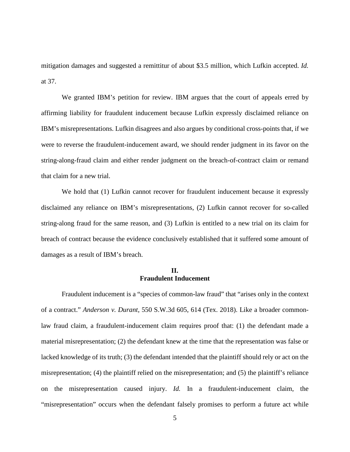mitigation damages and suggested a remittitur of about \$3.5 million, which Lufkin accepted. *Id.*  at 37.

We granted IBM's petition for review. IBM argues that the court of appeals erred by affirming liability for fraudulent inducement because Lufkin expressly disclaimed reliance on IBM's misrepresentations. Lufkin disagrees and also argues by conditional cross-points that, if we were to reverse the fraudulent-inducement award, we should render judgment in its favor on the string-along-fraud claim and either render judgment on the breach-of-contract claim or remand that claim for a new trial.

We hold that (1) Lufkin cannot recover for fraudulent inducement because it expressly disclaimed any reliance on IBM's misrepresentations, (2) Lufkin cannot recover for so-called string-along fraud for the same reason, and (3) Lufkin is entitled to a new trial on its claim for breach of contract because the evidence conclusively established that it suffered some amount of damages as a result of IBM's breach.

# **II. Fraudulent Inducement**

Fraudulent inducement is a "species of common-law fraud" that "arises only in the context of a contract." *Anderson v. Durant*, 550 S.W.3d 605, 614 (Tex. 2018). Like a broader commonlaw fraud claim, a fraudulent-inducement claim requires proof that: (1) the defendant made a material misrepresentation; (2) the defendant knew at the time that the representation was false or lacked knowledge of its truth; (3) the defendant intended that the plaintiff should rely or act on the misrepresentation; (4) the plaintiff relied on the misrepresentation; and (5) the plaintiff's reliance on the misrepresentation caused injury. *Id.* In a fraudulent-inducement claim, the "misrepresentation" occurs when the defendant falsely promises to perform a future act while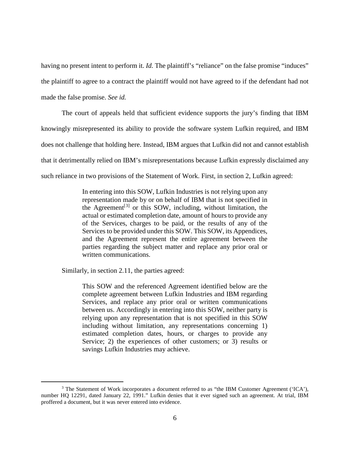having no present intent to perform it. *Id*. The plaintiff's "reliance" on the false promise "induces" the plaintiff to agree to a contract the plaintiff would not have agreed to if the defendant had not made the false promise. *See id.*

The court of appeals held that sufficient evidence supports the jury's finding that IBM knowingly misrepresented its ability to provide the software system Lufkin required, and IBM does not challenge that holding here. Instead, IBM argues that Lufkin did not and cannot establish that it detrimentally relied on IBM's misrepresentations because Lufkin expressly disclaimed any such reliance in two provisions of the Statement of Work. First, in section 2, Lufkin agreed:

> In entering into this SOW, Lufkin Industries is not relying upon any representation made by or on behalf of IBM that is not specified in the Agreement<sup>[[3](#page-5-0)]</sup> or this SOW, including, without limitation, the actual or estimated completion date, amount of hours to provide any of the Services, charges to be paid, or the results of any of the Services to be provided under this SOW. This SOW, its Appendices, and the Agreement represent the entire agreement between the parties regarding the subject matter and replace any prior oral or written communications.

Similarly, in section 2.11, the parties agreed:

 $\overline{a}$ 

This SOW and the referenced Agreement identified below are the complete agreement between Lufkin Industries and IBM regarding Services, and replace any prior oral or written communications between us. Accordingly in entering into this SOW, neither party is relying upon any representation that is not specified in this SOW including without limitation, any representations concerning 1) estimated completion dates, hours, or charges to provide any Service; 2) the experiences of other customers; or 3) results or savings Lufkin Industries may achieve.

<span id="page-5-0"></span><sup>&</sup>lt;sup>3</sup> The Statement of Work incorporates a document referred to as "the IBM Customer Agreement ('ICA'), number HQ 12291, dated January 22, 1991." Lufkin denies that it ever signed such an agreement. At trial, IBM proffered a document, but it was never entered into evidence.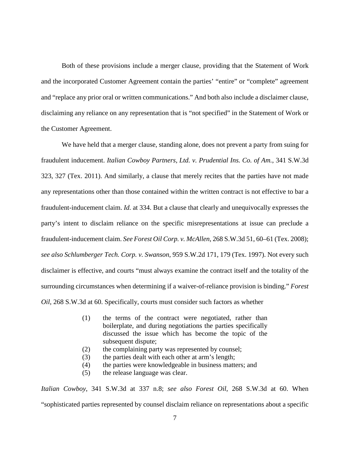Both of these provisions include a merger clause, providing that the Statement of Work and the incorporated Customer Agreement contain the parties' "entire" or "complete" agreement and "replace any prior oral or written communications." And both also include a disclaimer clause, disclaiming any reliance on any representation that is "not specified" in the Statement of Work or the Customer Agreement.

We have held that a merger clause, standing alone, does not prevent a party from suing for fraudulent inducement. *Italian Cowboy Partners, Ltd. v. Prudential Ins. Co. of Am.*, 341 S.W.3d 323, 327 (Tex. 2011). And similarly, a clause that merely recites that the parties have not made any representations other than those contained within the written contract is not effective to bar a fraudulent-inducement claim. *Id.* at 334. But a clause that clearly and unequivocally expresses the party's intent to disclaim reliance on the specific misrepresentations at issue can preclude a fraudulent-inducement claim. *See Forest Oil Corp. v. McAllen*, 268 S.W.3d 51, 60–61 (Tex. 2008); *see also Schlumberger Tech. Corp. v. Swanson*, 959 S.W.2d 171, 179 (Tex. 1997). Not every such disclaimer is effective, and courts "must always examine the contract itself and the totality of the surrounding circumstances when determining if a waiver-of-reliance provision is binding." *Forest Oil*, 268 S.W.3d at 60. Specifically, courts must consider such factors as whether

- (1) the terms of the contract were negotiated, rather than boilerplate, and during negotiations the parties specifically discussed the issue which has become the topic of the subsequent dispute;
- (2) the complaining party was represented by counsel;
- (3) the parties dealt with each other at arm's length;
- (4) the parties were knowledgeable in business matters; and
- (5) the release language was clear.

*Italian Cowboy*, 341 S.W.3d at 337 n.8; *see also Forest Oil*, 268 S.W.3d at 60. When "sophisticated parties represented by counsel disclaim reliance on representations about a specific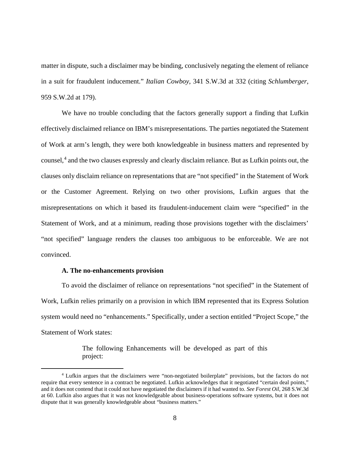matter in dispute, such a disclaimer may be binding, conclusively negating the element of reliance in a suit for fraudulent inducement." *Italian Cowboy*, 341 S.W.3d at 332 (citing *Schlumberger*, 959 S.W.2d at 179).

We have no trouble concluding that the factors generally support a finding that Lufkin effectively disclaimed reliance on IBM's misrepresentations. The parties negotiated the Statement of Work at arm's length, they were both knowledgeable in business matters and represented by counsel,<sup>[4](#page-7-0)</sup> and the two clauses expressly and clearly disclaim reliance. But as Lufkin points out, the clauses only disclaim reliance on representations that are "not specified" in the Statement of Work or the Customer Agreement. Relying on two other provisions, Lufkin argues that the misrepresentations on which it based its fraudulent-inducement claim were "specified" in the Statement of Work, and at a minimum, reading those provisions together with the disclaimers' "not specified" language renders the clauses too ambiguous to be enforceable. We are not convinced.

#### **A. The no-enhancements provision**

 $\overline{a}$ 

To avoid the disclaimer of reliance on representations "not specified" in the Statement of Work, Lufkin relies primarily on a provision in which IBM represented that its Express Solution system would need no "enhancements." Specifically, under a section entitled "Project Scope," the Statement of Work states:

> The following Enhancements will be developed as part of this project:

<span id="page-7-0"></span><sup>4</sup> Lufkin argues that the disclaimers were "non-negotiated boilerplate" provisions, but the factors do not require that every sentence in a contract be negotiated. Lufkin acknowledges that it negotiated "certain deal points," and it does not contend that it could not have negotiated the disclaimers if it had wanted to. *See Forest Oil*, 268 S.W.3d at 60. Lufkin also argues that it was not knowledgeable about business-operations software systems, but it does not dispute that it was generally knowledgeable about "business matters."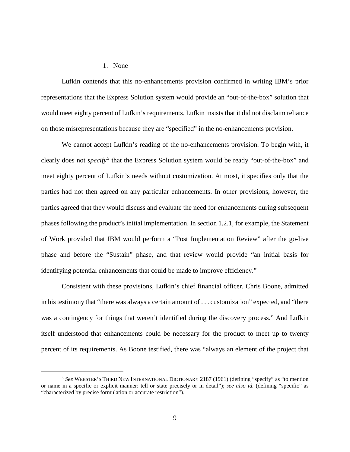### 1. None

 $\overline{a}$ 

Lufkin contends that this no-enhancements provision confirmed in writing IBM's prior representations that the Express Solution system would provide an "out-of-the-box" solution that would meet eighty percent of Lufkin's requirements. Lufkin insists that it did not disclaim reliance on those misrepresentations because they are "specified" in the no-enhancements provision.

We cannot accept Lufkin's reading of the no-enhancements provision. To begin with, it clearly does not *specify*<sup>[5](#page-8-0)</sup> that the Express Solution system would be ready "out-of-the-box" and meet eighty percent of Lufkin's needs without customization. At most, it specifies only that the parties had not then agreed on any particular enhancements. In other provisions, however, the parties agreed that they would discuss and evaluate the need for enhancements during subsequent phases following the product's initial implementation. In section 1.2.1, for example, the Statement of Work provided that IBM would perform a "Post Implementation Review" after the go-live phase and before the "Sustain" phase, and that review would provide "an initial basis for identifying potential enhancements that could be made to improve efficiency."

Consistent with these provisions, Lufkin's chief financial officer, Chris Boone, admitted in his testimony that "there was always a certain amount of . . . customization" expected, and "there was a contingency for things that weren't identified during the discovery process." And Lufkin itself understood that enhancements could be necessary for the product to meet up to twenty percent of its requirements. As Boone testified, there was "always an element of the project that

<span id="page-8-0"></span><sup>5</sup> *See* WEBSTER'S THIRD NEW INTERNATIONAL DICTIONARY 2187 (1961) (defining "specify" as "to mention or name in a specific or explicit manner: tell or state precisely or in detail"); *see also id.* (defining "specific" as "characterized by precise formulation or accurate restriction").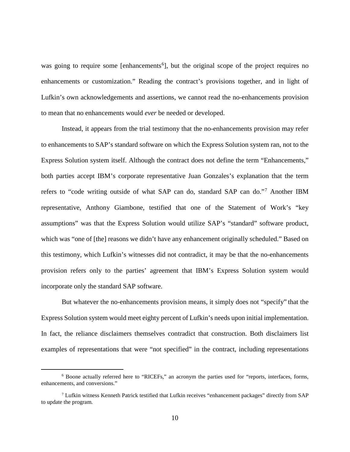was going to require some [enhancements<sup>[6](#page-9-0)</sup>], but the original scope of the project requires no enhancements or customization." Reading the contract's provisions together, and in light of Lufkin's own acknowledgements and assertions, we cannot read the no-enhancements provision to mean that no enhancements would *ever* be needed or developed.

Instead, it appears from the trial testimony that the no-enhancements provision may refer to enhancements to SAP's standard software on which the Express Solution system ran, not to the Express Solution system itself. Although the contract does not define the term "Enhancements," both parties accept IBM's corporate representative Juan Gonzales's explanation that the term refers to "code writing outside of what SAP can do, standard SAP can do."[7](#page-9-1) Another IBM representative, Anthony Giambone, testified that one of the Statement of Work's "key assumptions" was that the Express Solution would utilize SAP's "standard" software product, which was "one of [the] reasons we didn't have any enhancement originally scheduled." Based on this testimony, which Lufkin's witnesses did not contradict, it may be that the no-enhancements provision refers only to the parties' agreement that IBM's Express Solution system would incorporate only the standard SAP software.

But whatever the no-enhancements provision means, it simply does not "specify" that the Express Solution system would meet eighty percent of Lufkin's needs upon initial implementation. In fact, the reliance disclaimers themselves contradict that construction. Both disclaimers list examples of representations that were "not specified" in the contract, including representations

<span id="page-9-0"></span><sup>6</sup> Boone actually referred here to "RICEFs," an acronym the parties used for "reports, interfaces, forms, enhancements, and conversions."

<span id="page-9-1"></span><sup>7</sup> Lufkin witness Kenneth Patrick testified that Lufkin receives "enhancement packages" directly from SAP to update the program.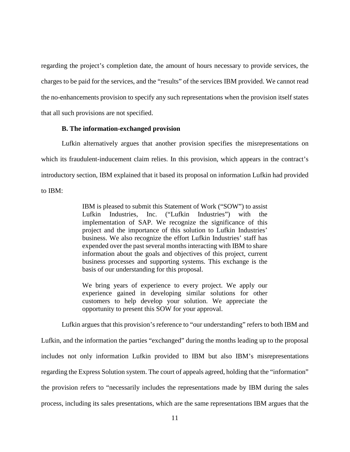regarding the project's completion date, the amount of hours necessary to provide services, the charges to be paid for the services, and the "results" of the services IBM provided. We cannot read the no-enhancements provision to specify any such representations when the provision itself states that all such provisions are not specified.

#### **B. The information-exchanged provision**

Lufkin alternatively argues that another provision specifies the misrepresentations on which its fraudulent-inducement claim relies. In this provision, which appears in the contract's introductory section, IBM explained that it based its proposal on information Lufkin had provided to IBM:

> IBM is pleased to submit this Statement of Work ("SOW") to assist Lufkin Industries, Inc. ("Lufkin Industries") with the implementation of SAP. We recognize the significance of this project and the importance of this solution to Lufkin Industries' business. We also recognize the effort Lufkin Industries' staff has expended over the past several months interacting with IBM to share information about the goals and objectives of this project, current business processes and supporting systems. This exchange is the basis of our understanding for this proposal.

> We bring years of experience to every project. We apply our experience gained in developing similar solutions for other customers to help develop your solution. We appreciate the opportunity to present this SOW for your approval.

Lufkin argues that this provision's reference to "our understanding" refers to both IBM and Lufkin, and the information the parties "exchanged" during the months leading up to the proposal includes not only information Lufkin provided to IBM but also IBM's misrepresentations regarding the Express Solution system. The court of appeals agreed, holding that the "information" the provision refers to "necessarily includes the representations made by IBM during the sales process, including its sales presentations, which are the same representations IBM argues that the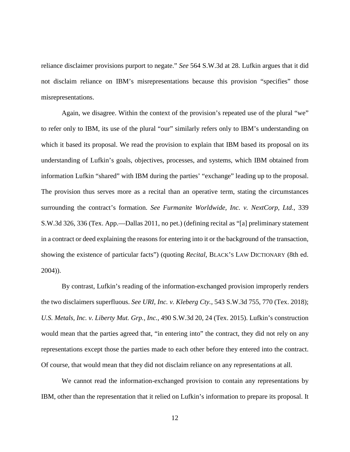reliance disclaimer provisions purport to negate." *See* 564 S.W.3d at 28. Lufkin argues that it did not disclaim reliance on IBM's misrepresentations because this provision "specifies" those misrepresentations.

Again, we disagree. Within the context of the provision's repeated use of the plural "we" to refer only to IBM, its use of the plural "our" similarly refers only to IBM's understanding on which it based its proposal. We read the provision to explain that IBM based its proposal on its understanding of Lufkin's goals, objectives, processes, and systems, which IBM obtained from information Lufkin "shared" with IBM during the parties' "exchange" leading up to the proposal. The provision thus serves more as a recital than an operative term, stating the circumstances surrounding the contract's formation. *See Furmanite Worldwide, Inc. v. NextCorp, Ltd.*, 339 S.W.3d 326, 336 (Tex. App.—Dallas 2011, no pet.) (defining recital as "[a] preliminary statement in a contract or deed explaining the reasons for entering into it or the background of the transaction, showing the existence of particular facts") (quoting *Recital*, BLACK'S LAW DICTIONARY (8th ed. 2004)).

By contrast, Lufkin's reading of the information-exchanged provision improperly renders the two disclaimers superfluous. *See URI, Inc. v. Kleberg Cty.*, 543 S.W.3d 755, 770 (Tex. 2018); *U.S. Metals, Inc. v. Liberty Mut. Grp., Inc.*, 490 S.W.3d 20, 24 (Tex. 2015). Lufkin's construction would mean that the parties agreed that, "in entering into" the contract, they did not rely on any representations except those the parties made to each other before they entered into the contract. Of course, that would mean that they did not disclaim reliance on any representations at all.

We cannot read the information-exchanged provision to contain any representations by IBM, other than the representation that it relied on Lufkin's information to prepare its proposal. It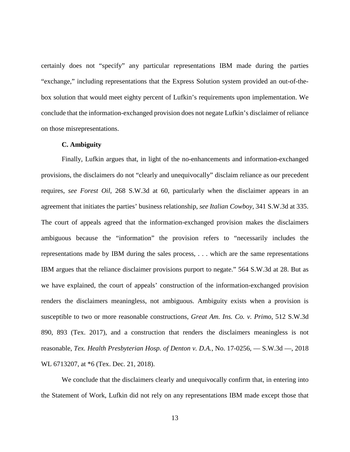certainly does not "specify" any particular representations IBM made during the parties "exchange," including representations that the Express Solution system provided an out-of-thebox solution that would meet eighty percent of Lufkin's requirements upon implementation. We conclude that the information-exchanged provision does not negate Lufkin's disclaimer of reliance on those misrepresentations.

#### **C. Ambiguity**

Finally, Lufkin argues that, in light of the no-enhancements and information-exchanged provisions, the disclaimers do not "clearly and unequivocally" disclaim reliance as our precedent requires, *see Forest Oil*, 268 S.W.3d at 60, particularly when the disclaimer appears in an agreement that initiates the parties' business relationship, *see Italian Cowboy*, 341 S.W.3d at 335. The court of appeals agreed that the information-exchanged provision makes the disclaimers ambiguous because the "information" the provision refers to "necessarily includes the representations made by IBM during the sales process, . . . which are the same representations IBM argues that the reliance disclaimer provisions purport to negate." 564 S.W.3d at 28. But as we have explained, the court of appeals' construction of the information-exchanged provision renders the disclaimers meaningless, not ambiguous. Ambiguity exists when a provision is susceptible to two or more reasonable constructions, *Great Am. Ins. Co. v. Primo*, 512 S.W.3d 890, 893 (Tex. 2017), and a construction that renders the disclaimers meaningless is not reasonable, *Tex. Health Presbyterian Hosp. of Denton v. D.A.*, No. 17-0256, — S.W.3d —, 2018 WL 6713207, at \*6 (Tex. Dec. 21, 2018).

We conclude that the disclaimers clearly and unequivocally confirm that, in entering into the Statement of Work, Lufkin did not rely on any representations IBM made except those that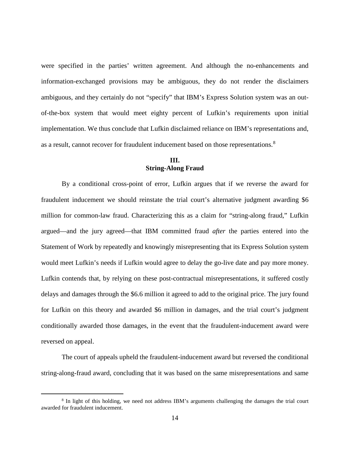were specified in the parties' written agreement. And although the no-enhancements and information-exchanged provisions may be ambiguous, they do not render the disclaimers ambiguous, and they certainly do not "specify" that IBM's Express Solution system was an outof-the-box system that would meet eighty percent of Lufkin's requirements upon initial implementation. We thus conclude that Lufkin disclaimed reliance on IBM's representations and, as a result, cannot recover for fraudulent inducement based on those representations.<sup>[8](#page-13-0)</sup>

# **III. String-Along Fraud**

By a conditional cross-point of error, Lufkin argues that if we reverse the award for fraudulent inducement we should reinstate the trial court's alternative judgment awarding \$6 million for common-law fraud. Characterizing this as a claim for "string-along fraud," Lufkin argued—and the jury agreed—that IBM committed fraud *after* the parties entered into the Statement of Work by repeatedly and knowingly misrepresenting that its Express Solution system would meet Lufkin's needs if Lufkin would agree to delay the go-live date and pay more money. Lufkin contends that, by relying on these post-contractual misrepresentations, it suffered costly delays and damages through the \$6.6 million it agreed to add to the original price. The jury found for Lufkin on this theory and awarded \$6 million in damages, and the trial court's judgment conditionally awarded those damages, in the event that the fraudulent-inducement award were reversed on appeal.

The court of appeals upheld the fraudulent-inducement award but reversed the conditional string-along-fraud award, concluding that it was based on the same misrepresentations and same

<span id="page-13-0"></span><sup>8</sup> In light of this holding, we need not address IBM's arguments challenging the damages the trial court awarded for fraudulent inducement.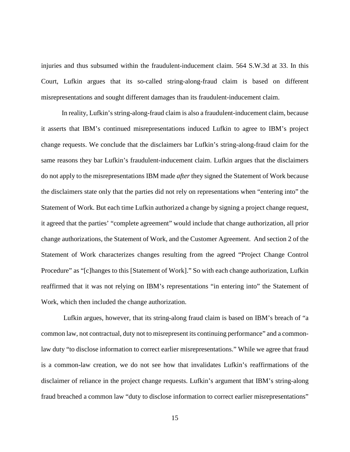injuries and thus subsumed within the fraudulent-inducement claim. 564 S.W.3d at 33. In this Court, Lufkin argues that its so-called string-along-fraud claim is based on different misrepresentations and sought different damages than its fraudulent-inducement claim.

In reality, Lufkin's string-along-fraud claim is also a fraudulent-inducement claim, because it asserts that IBM's continued misrepresentations induced Lufkin to agree to IBM's project change requests. We conclude that the disclaimers bar Lufkin's string-along-fraud claim for the same reasons they bar Lufkin's fraudulent-inducement claim. Lufkin argues that the disclaimers do not apply to the misrepresentations IBM made *after* they signed the Statement of Work because the disclaimers state only that the parties did not rely on representations when "entering into" the Statement of Work. But each time Lufkin authorized a change by signing a project change request, it agreed that the parties' "complete agreement" would include that change authorization, all prior change authorizations, the Statement of Work, and the Customer Agreement. And section 2 of the Statement of Work characterizes changes resulting from the agreed "Project Change Control Procedure" as "[c]hanges to this [Statement of Work]." So with each change authorization, Lufkin reaffirmed that it was not relying on IBM's representations "in entering into" the Statement of Work, which then included the change authorization.

Lufkin argues, however, that its string-along fraud claim is based on IBM's breach of "a common law, not contractual, duty not to misrepresent its continuing performance" and a commonlaw duty "to disclose information to correct earlier misrepresentations." While we agree that fraud is a common-law creation, we do not see how that invalidates Lufkin's reaffirmations of the disclaimer of reliance in the project change requests. Lufkin's argument that IBM's string-along fraud breached a common law "duty to disclose information to correct earlier misrepresentations"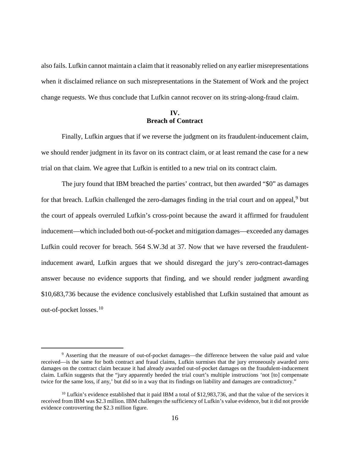also fails. Lufkin cannot maintain a claim that it reasonably relied on any earlier misrepresentations when it disclaimed reliance on such misrepresentations in the Statement of Work and the project change requests. We thus conclude that Lufkin cannot recover on its string-along-fraud claim.

# **IV. Breach of Contract**

Finally, Lufkin argues that if we reverse the judgment on its fraudulent-inducement claim, we should render judgment in its favor on its contract claim, or at least remand the case for a new trial on that claim. We agree that Lufkin is entitled to a new trial on its contract claim.

The jury found that IBM breached the parties' contract, but then awarded "\$0" as damages for that breach. Lufkin challenged the zero-damages finding in the trial court and on appeal,<sup>[9](#page-15-0)</sup> but the court of appeals overruled Lufkin's cross-point because the award it affirmed for fraudulent inducement—which included both out-of-pocket and mitigation damages—exceeded any damages Lufkin could recover for breach. 564 S.W.3d at 37. Now that we have reversed the fraudulentinducement award, Lufkin argues that we should disregard the jury's zero-contract-damages answer because no evidence supports that finding, and we should render judgment awarding \$10,683,736 because the evidence conclusively established that Lufkin sustained that amount as out-of-pocket losses.<sup>[10](#page-15-1)</sup>

<span id="page-15-0"></span><sup>&</sup>lt;sup>9</sup> Asserting that the measure of out-of-pocket damages—the difference between the value paid and value received—is the same for both contract and fraud claims, Lufkin surmises that the jury erroneously awarded zero damages on the contract claim because it had already awarded out-of-pocket damages on the fraudulent-inducement claim. Lufkin suggests that the "jury apparently heeded the trial court's multiple instructions 'not [to] compensate twice for the same loss, if any,' but did so in a way that its findings on liability and damages are contradictory."

<span id="page-15-1"></span> $10$  Lufkin's evidence established that it paid IBM a total of \$12,983,736, and that the value of the services it received from IBM was \$2.3 million. IBM challenges the sufficiency of Lufkin's value evidence, but it did not provide evidence controverting the \$2.3 million figure.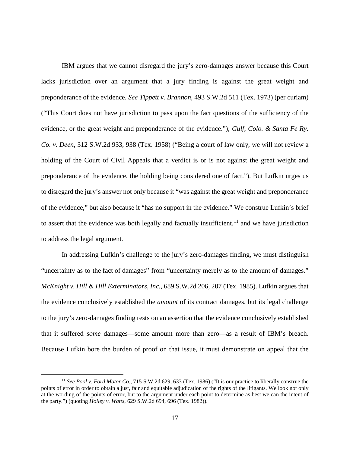IBM argues that we cannot disregard the jury's zero-damages answer because this Court lacks jurisdiction over an argument that a jury finding is against the great weight and preponderance of the evidence. *See Tippett v. Brannon*, 493 S.W.2d 511 (Tex. 1973) (per curiam) ("This Court does not have jurisdiction to pass upon the fact questions of the sufficiency of the evidence, or the great weight and preponderance of the evidence."); *Gulf, Colo. & Santa Fe Ry. Co. v. Deen*, 312 S.W.2d 933, 938 (Tex. 1958) ("Being a court of law only, we will not review a holding of the Court of Civil Appeals that a verdict is or is not against the great weight and preponderance of the evidence, the holding being considered one of fact."). But Lufkin urges us to disregard the jury's answer not only because it "was against the great weight and preponderance of the evidence," but also because it "has no support in the evidence." We construe Lufkin's brief to assert that the evidence was both legally and factually insufficient,  $11$  and we have jurisdiction to address the legal argument.

In addressing Lufkin's challenge to the jury's zero-damages finding, we must distinguish "uncertainty as to the fact of damages" from "uncertainty merely as to the amount of damages." *McKnight v. Hill & Hill Exterminators, Inc.*, 689 S.W.2d 206, 207 (Tex. 1985). Lufkin argues that the evidence conclusively established the *amount* of its contract damages, but its legal challenge to the jury's zero-damages finding rests on an assertion that the evidence conclusively established that it suffered *some* damages—some amount more than zero—as a result of IBM's breach. Because Lufkin bore the burden of proof on that issue, it must demonstrate on appeal that the

<span id="page-16-0"></span><sup>11</sup> *See Pool v. Ford Motor Co.*, 715 S.W.2d 629, 633 (Tex. 1986) ("It is our practice to liberally construe the points of error in order to obtain a just, fair and equitable adjudication of the rights of the litigants. We look not only at the wording of the points of error, but to the argument under each point to determine as best we can the intent of the party.") (quoting *Holley v. Watts*, 629 S.W.2d 694, 696 (Tex. 1982)).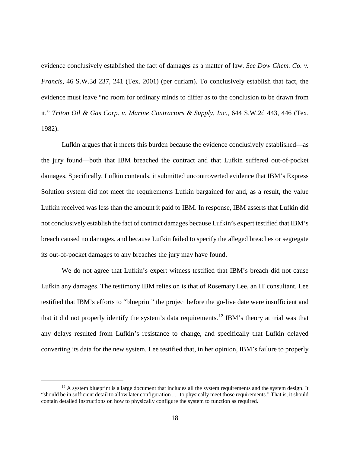evidence conclusively established the fact of damages as a matter of law. *See Dow Chem. Co. v. Francis*, 46 S.W.3d 237, 241 (Tex. 2001) (per curiam). To conclusively establish that fact, the evidence must leave "no room for ordinary minds to differ as to the conclusion to be drawn from it." *Triton Oil & Gas Corp. v. Marine Contractors & Supply, Inc.*, 644 S.W.2d 443, 446 (Tex. 1982).

Lufkin argues that it meets this burden because the evidence conclusively established—as the jury found—both that IBM breached the contract and that Lufkin suffered out-of-pocket damages. Specifically, Lufkin contends, it submitted uncontroverted evidence that IBM's Express Solution system did not meet the requirements Lufkin bargained for and, as a result, the value Lufkin received was less than the amount it paid to IBM. In response, IBM asserts that Lufkin did not conclusively establish the fact of contract damages because Lufkin's expert testified that IBM's breach caused no damages, and because Lufkin failed to specify the alleged breaches or segregate its out-of-pocket damages to any breaches the jury may have found.

We do not agree that Lufkin's expert witness testified that IBM's breach did not cause Lufkin any damages. The testimony IBM relies on is that of Rosemary Lee, an IT consultant. Lee testified that IBM's efforts to "blueprint" the project before the go-live date were insufficient and that it did not properly identify the system's data requirements.[12](#page-17-0) IBM's theory at trial was that any delays resulted from Lufkin's resistance to change, and specifically that Lufkin delayed converting its data for the new system. Lee testified that, in her opinion, IBM's failure to properly

<span id="page-17-0"></span> $12$  A system blueprint is a large document that includes all the system requirements and the system design. It "should be in sufficient detail to allow later configuration . . . to physically meet those requirements." That is, it should contain detailed instructions on how to physically configure the system to function as required.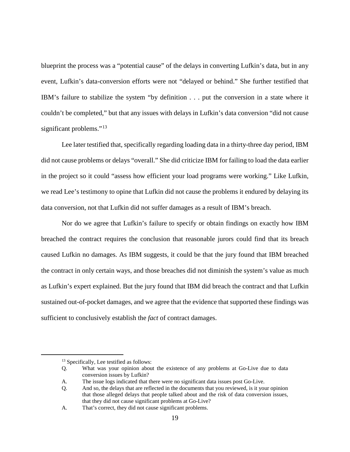blueprint the process was a "potential cause" of the delays in converting Lufkin's data, but in any event, Lufkin's data-conversion efforts were not "delayed or behind." She further testified that IBM's failure to stabilize the system "by definition . . . put the conversion in a state where it couldn't be completed," but that any issues with delays in Lufkin's data conversion "did not cause significant problems."<sup>[13](#page-18-0)</sup>

Lee later testified that, specifically regarding loading data in a thirty-three day period, IBM did not cause problems or delays "overall." She did criticize IBM for failing to load the data earlier in the project so it could "assess how efficient your load programs were working." Like Lufkin, we read Lee's testimony to opine that Lufkin did not cause the problems it endured by delaying its data conversion, not that Lufkin did not suffer damages as a result of IBM's breach.

Nor do we agree that Lufkin's failure to specify or obtain findings on exactly how IBM breached the contract requires the conclusion that reasonable jurors could find that its breach caused Lufkin no damages. As IBM suggests, it could be that the jury found that IBM breached the contract in only certain ways, and those breaches did not diminish the system's value as much as Lufkin's expert explained. But the jury found that IBM did breach the contract and that Lufkin sustained out-of-pocket damages, and we agree that the evidence that supported these findings was sufficient to conclusively establish the *fact* of contract damages.

<span id="page-18-0"></span><sup>&</sup>lt;sup>13</sup> Specifically, Lee testified as follows:

Q. What was your opinion about the existence of any problems at Go-Live due to data conversion issues by Lufkin?

A. The issue logs indicated that there were no significant data issues post Go-Live.

Q. And so, the delays that are reflected in the documents that you reviewed, is it your opinion that those alleged delays that people talked about and the risk of data conversion issues, that they did not cause significant problems at Go-Live?

A. That's correct, they did not cause significant problems.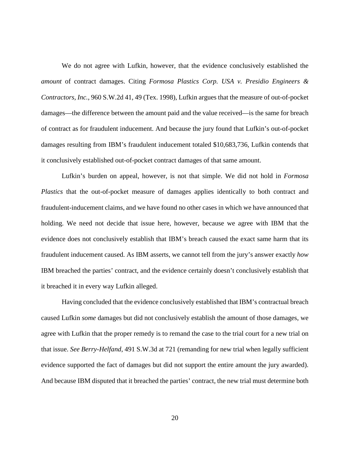We do not agree with Lufkin, however, that the evidence conclusively established the *amount* of contract damages. Citing *Formosa Plastics Corp. USA v. Presidio Engineers & Contractors, Inc.*, 960 S.W.2d 41, 49 (Tex. 1998), Lufkin argues that the measure of out-of-pocket damages—the difference between the amount paid and the value received—is the same for breach of contract as for fraudulent inducement. And because the jury found that Lufkin's out-of-pocket damages resulting from IBM's fraudulent inducement totaled \$10,683,736, Lufkin contends that it conclusively established out-of-pocket contract damages of that same amount.

Lufkin's burden on appeal, however, is not that simple. We did not hold in *Formosa Plastics* that the out-of-pocket measure of damages applies identically to both contract and fraudulent-inducement claims, and we have found no other cases in which we have announced that holding. We need not decide that issue here, however, because we agree with IBM that the evidence does not conclusively establish that IBM's breach caused the exact same harm that its fraudulent inducement caused. As IBM asserts, we cannot tell from the jury's answer exactly *how* IBM breached the parties' contract, and the evidence certainly doesn't conclusively establish that it breached it in every way Lufkin alleged.

Having concluded that the evidence conclusively established that IBM's contractual breach caused Lufkin *some* damages but did not conclusively establish the amount of those damages, we agree with Lufkin that the proper remedy is to remand the case to the trial court for a new trial on that issue. *See Berry-Helfand*, 491 S.W.3d at 721 (remanding for new trial when legally sufficient evidence supported the fact of damages but did not support the entire amount the jury awarded). And because IBM disputed that it breached the parties' contract, the new trial must determine both